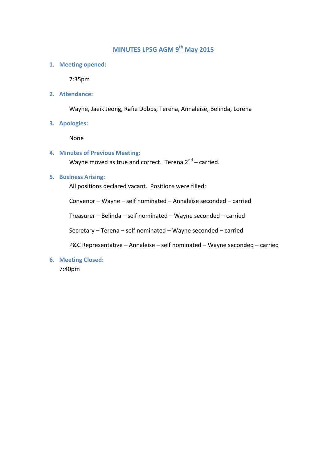## **MINUTES LPSG AGM 9 th May 2015**

**1. Meeting opened:**

7:35pm

**2. Attendance:**

Wayne, Jaeik Jeong, Rafie Dobbs, Terena, Annaleise, Belinda, Lorena

**3. Apologies:**

None

**4. Minutes of Previous Meeting:**

Wayne moved as true and correct. Terena 2<sup>nd</sup> – carried.

#### **5. Business Arising:**

All positions declared vacant. Positions were filled:

Convenor – Wayne – self nominated – Annaleise seconded – carried

Treasurer – Belinda – self nominated – Wayne seconded – carried

Secretary – Terena – self nominated – Wayne seconded – carried

P&C Representative – Annaleise – self nominated – Wayne seconded – carried

**6. Meeting Closed:**

7:40pm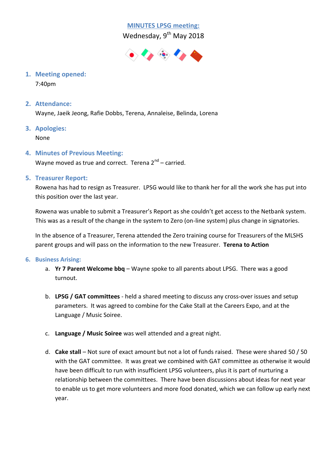# **MINUTES LPSG meeting:**



**1. Meeting opened:**

7:40pm

**2. Attendance:**

Wayne, Jaeik Jeong, Rafie Dobbs, Terena, Annaleise, Belinda, Lorena

**3. Apologies:**

None

**4. Minutes of Previous Meeting:**

Wayne moved as true and correct. Terena 2<sup>nd</sup> – carried.

## **5. Treasurer Report:**

Rowena has had to resign as Treasurer. LPSG would like to thank her for all the work she has put into this position over the last year.

Rowena was unable to submit a Treasurer's Report as she couldn't get access to the Netbank system. This was as a result of the change in the system to Zero (on-line system) plus change in signatories.

In the absence of a Treasurer, Terena attended the Zero training course for Treasurers of the MLSHS parent groups and will pass on the information to the new Treasurer. **Terena to Action**

#### **6. Business Arising:**

- a. **Yr 7 Parent Welcome bbq** Wayne spoke to all parents about LPSG. There was a good turnout.
- b. **LPSG / GAT committees** held a shared meeting to discuss any cross-over issues and setup parameters. It was agreed to combine for the Cake Stall at the Careers Expo, and at the Language / Music Soiree.
- c. **Language / Music Soiree** was well attended and a great night.
- d. **Cake stall** Not sure of exact amount but not a lot of funds raised. These were shared 50 / 50 with the GAT committee. It was great we combined with GAT committee as otherwise it would have been difficult to run with insufficient LPSG volunteers, plus it is part of nurturing a relationship between the committees. There have been discussions about ideas for next year to enable us to get more volunteers and more food donated, which we can follow up early next year.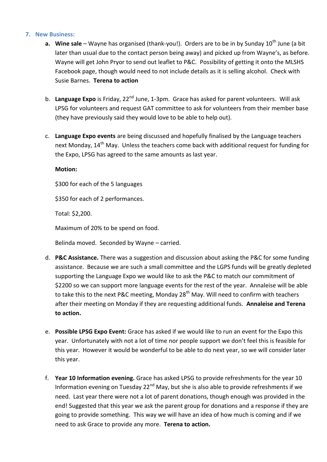#### **7. New Business:**

- **a.** Wine sale Wayne has organised (thank-you!). Orders are to be in by Sunday 10<sup>th</sup> June (a bit later than usual due to the contact person being away) and picked up from Wayne's, as before. Wayne will get John Pryor to send out leaflet to P&C. Possibility of getting it onto the MLSHS Facebook page, though would need to not include details as it is selling alcohol. Check with Susie Barnes. **Terena to action**
- b. Language Expo is Friday, 22<sup>nd</sup> June, 1-3pm. Grace has asked for parent volunteers. Will ask LPSG for volunteers and request GAT committee to ask for volunteers from their member base (they have previously said they would love to be able to help out).
- c. **Language Expo events** are being discussed and hopefully finalised by the Language teachers next Monday, 14<sup>th</sup> May. Unless the teachers come back with additional request for funding for the Expo, LPSG has agreed to the same amounts as last year.

#### **Motion:**

\$300 for each of the 5 languages

\$350 for each of 2 performances.

Total: \$2,200.

Maximum of 20% to be spend on food.

Belinda moved. Seconded by Wayne – carried.

- d. **P&C Assistance.** There was a suggestion and discussion about asking the P&C for some funding assistance. Because we are such a small committee and the LGPS funds will be greatly depleted supporting the Language Expo we would like to ask the P&C to match our commitment of \$2200 so we can support more language events for the rest of the year. Annaleise will be able to take this to the next P&C meeting, Monday 28<sup>th</sup> May. Will need to confirm with teachers after their meeting on Monday if they are requesting additional funds. **Annaleise and Terena to action.**
- e. **Possible LPSG Expo Event:** Grace has asked if we would like to run an event for the Expo this year. Unfortunately with not a lot of time nor people support we don't feel this is feasible for this year. However it would be wonderful to be able to do next year, so we will consider later this year.
- f. **Year 10 Information evening.** Grace has asked LPSG to provide refreshments for the year 10 Information evening on Tuesday 22 $^{nd}$  May, but she is also able to provide refreshments if we need. Last year there were not a lot of parent donations, though enough was provided in the end! Suggested that this year we ask the parent group for donations and a response if they are going to provide something. This way we will have an idea of how much is coming and if we need to ask Grace to provide any more. **Terena to action.**